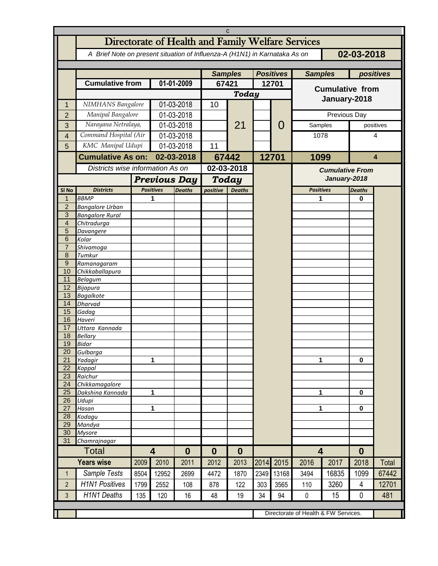| C                   |                                                                                          |                                      |                         |                  |                     |                  |       |                |                         |                                        |               |       |  |
|---------------------|------------------------------------------------------------------------------------------|--------------------------------------|-------------------------|------------------|---------------------|------------------|-------|----------------|-------------------------|----------------------------------------|---------------|-------|--|
|                     | Directorate of Health and Family Welfare Services                                        |                                      |                         |                  |                     |                  |       |                |                         |                                        |               |       |  |
|                     | 02-03-2018<br>A Brief Note on present situation of Influenza-A (H1N1) in Karnataka As on |                                      |                         |                  |                     |                  |       |                |                         |                                        |               |       |  |
|                     |                                                                                          |                                      |                         |                  |                     |                  |       |                |                         |                                        |               |       |  |
|                     |                                                                                          |                                      |                         | <b>Samples</b>   |                     | <b>Positives</b> |       | <b>Samples</b> |                         |                                        | positives     |       |  |
|                     | <b>Cumulative from</b>                                                                   |                                      | 01-01-2009              |                  | 67421               |                  | 12701 |                |                         |                                        |               |       |  |
|                     |                                                                                          |                                      |                         |                  |                     | Today            |       |                | <b>Cumulative from</b>  |                                        |               |       |  |
| 1                   | NIMHANS Bangalore                                                                        |                                      | 01-03-2018              |                  | 10                  |                  |       |                | January-2018            |                                        |               |       |  |
| $\overline{2}$      | Manipal Bangalore                                                                        |                                      | 01-03-2018              |                  |                     |                  |       |                | Previous Day            |                                        |               |       |  |
| 3                   | Narayana Netralaya,                                                                      |                                      | 01-03-2018              |                  |                     | 21               |       | 0              | Samples                 |                                        | positives     |       |  |
| $\overline{4}$      | Command Hospital (Air                                                                    |                                      | 01-03-2018              |                  |                     |                  |       |                | 1078                    |                                        | 4             |       |  |
| 5                   | KMC Manipal Udupi                                                                        |                                      | 01-03-2018              |                  | 11                  |                  |       |                | 1099                    |                                        | 4             |       |  |
|                     | <b>Cumulative As on:</b>                                                                 |                                      | 02-03-2018              |                  |                     |                  |       |                |                         |                                        |               |       |  |
|                     | Districts wise information As on                                                         |                                      |                         |                  | 67442<br>02-03-2018 |                  | 12701 |                |                         |                                        |               |       |  |
|                     |                                                                                          |                                      |                         |                  |                     |                  |       |                |                         | <b>Cumulative From</b><br>January-2018 |               |       |  |
|                     |                                                                                          |                                      | <b>Previous Day</b>     |                  |                     | Today            |       |                |                         |                                        |               |       |  |
| SI No               | <b>Districts</b>                                                                         |                                      | <b>Positives</b>        | <b>Deaths</b>    | positive            | <b>Deaths</b>    |       |                | <b>Positives</b>        |                                        | <b>Deaths</b> |       |  |
| 1<br>$\overline{2}$ | <b>BBMP</b><br><b>Bangalore Urban</b>                                                    |                                      | 1                       |                  |                     |                  |       |                | 1                       |                                        | 0             |       |  |
| 3                   | <b>Bangalore Rural</b>                                                                   |                                      |                         |                  |                     |                  |       |                |                         |                                        |               |       |  |
| $\overline{4}$      | Chitradurga                                                                              |                                      |                         |                  |                     |                  |       |                |                         |                                        |               |       |  |
| 5                   | Davangere                                                                                |                                      |                         |                  |                     |                  |       |                |                         |                                        |               |       |  |
| 6                   | Kolar                                                                                    |                                      |                         |                  |                     |                  |       |                |                         |                                        |               |       |  |
| $\overline{7}$<br>8 | Shivamoga<br>Tumkur                                                                      |                                      |                         |                  |                     |                  |       |                |                         |                                        |               |       |  |
| 9                   | Ramanagaram                                                                              |                                      |                         |                  |                     |                  |       |                |                         |                                        |               |       |  |
| 10                  | Chikkaballapura                                                                          |                                      |                         |                  |                     |                  |       |                |                         |                                        |               |       |  |
| 11                  | <b>Belagum</b>                                                                           |                                      |                         |                  |                     |                  |       |                |                         |                                        |               |       |  |
| 12                  | Bijapura                                                                                 |                                      |                         |                  |                     |                  |       |                |                         |                                        |               |       |  |
| 13<br>14            | <b>Bagalkote</b><br><b>Dharvad</b>                                                       |                                      |                         |                  |                     |                  |       |                |                         |                                        |               |       |  |
| 15                  | Gadag                                                                                    |                                      |                         |                  |                     |                  |       |                |                         |                                        |               |       |  |
| 16                  | Haveri                                                                                   |                                      |                         |                  |                     |                  |       |                |                         |                                        |               |       |  |
| 17                  | Uttara Kannada                                                                           |                                      |                         |                  |                     |                  |       |                |                         |                                        |               |       |  |
| 18                  | <b>Bellary</b>                                                                           |                                      |                         |                  |                     |                  |       |                |                         |                                        |               |       |  |
| 19<br>20            | Bidar<br>Gulbarga                                                                        |                                      |                         |                  |                     |                  |       |                |                         |                                        |               |       |  |
| 21                  | Yadagir                                                                                  |                                      | 1                       |                  |                     |                  |       |                | 1                       |                                        | 0             |       |  |
| $\overline{22}$     | Koppal                                                                                   |                                      |                         |                  |                     |                  |       |                |                         |                                        |               |       |  |
| 23                  | Raichur                                                                                  |                                      |                         |                  |                     |                  |       |                |                         |                                        |               |       |  |
| $\overline{24}$     | Chikkamagalore                                                                           |                                      |                         |                  |                     |                  |       |                |                         |                                        |               |       |  |
| 25<br>26            | Dakshina Kannada<br>Udupi                                                                | $\mathbf{1}$                         |                         |                  |                     |                  |       |                | 1                       |                                        | 0             |       |  |
| 27                  | Hasan                                                                                    |                                      | 1                       |                  |                     |                  |       |                | 1                       |                                        | 0             |       |  |
| 28                  | Kodagu                                                                                   |                                      |                         |                  |                     |                  |       |                |                         |                                        |               |       |  |
| 29                  | Mandya                                                                                   |                                      |                         |                  |                     |                  |       |                |                         |                                        |               |       |  |
| 30                  | <b>Mysore</b>                                                                            |                                      |                         |                  |                     |                  |       |                |                         |                                        |               |       |  |
| 31                  | Chamrajnagar<br><b>Total</b>                                                             |                                      | $\overline{\mathbf{4}}$ |                  |                     |                  |       |                | $\overline{\mathbf{4}}$ |                                        |               |       |  |
|                     |                                                                                          |                                      |                         | $\boldsymbol{0}$ | 0                   | $\bf{0}$         |       |                |                         |                                        | $\bf{0}$      |       |  |
|                     | <b>Years wise</b>                                                                        | 2009                                 | 2010                    | 2011             | 2012                | 2013             | 2014  | 2015           | 2016                    | 2017                                   | 2018          | Total |  |
| $\mathbf{1}$        | Sample Tests                                                                             | 8504                                 | 12952                   | 2699             | 4472                | 1870             | 2349  | 13168          | 3494                    | 16835                                  | 1099          | 67442 |  |
| $\overline{2}$      | <b>H1N1 Positives</b>                                                                    | 1799                                 | 2552                    | 108              | 878                 | 122              | 303   | 3565           | 110                     | 3260                                   | 4             | 12701 |  |
| 3                   | <b>H1N1 Deaths</b>                                                                       | 135                                  | 120                     | 16               | 48                  | 19               | 34    | 94             | 0                       | 15                                     | 0             | 481   |  |
|                     |                                                                                          |                                      |                         |                  |                     |                  |       |                |                         |                                        |               |       |  |
|                     |                                                                                          | Directorate of Health & FW Services. |                         |                  |                     |                  |       |                |                         |                                        |               |       |  |